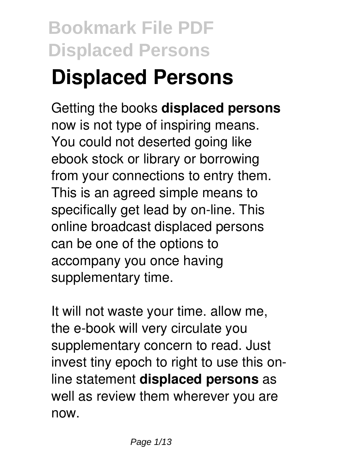# **Displaced Persons**

Getting the books **displaced persons** now is not type of inspiring means. You could not deserted going like ebook stock or library or borrowing from your connections to entry them. This is an agreed simple means to specifically get lead by on-line. This online broadcast displaced persons can be one of the options to accompany you once having supplementary time.

It will not waste your time. allow me, the e-book will very circulate you supplementary concern to read. Just invest tiny epoch to right to use this online statement **displaced persons** as well as review them wherever you are now.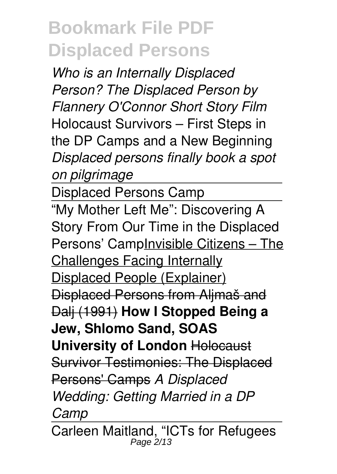*Who is an Internally Displaced Person? The Displaced Person by Flannery O'Connor Short Story Film* Holocaust Survivors – First Steps in the DP Camps and a New Beginning *Displaced persons finally book a spot on pilgrimage*

Displaced Persons Camp

"My Mother Left Me": Discovering A Story From Our Time in the Displaced Persons' CampInvisible Citizens – The Challenges Facing Internally Displaced People (Explainer) Displaced Persons from Aljmaš and Dalj (1991) **How I Stopped Being a Jew, Shlomo Sand, SOAS University of London** Holocaust Survivor Testimonies: The Displaced Persons' Camps *A Displaced Wedding: Getting Married in a DP Camp*

Carleen Maitland, "ICTs for Refugees Page 2/13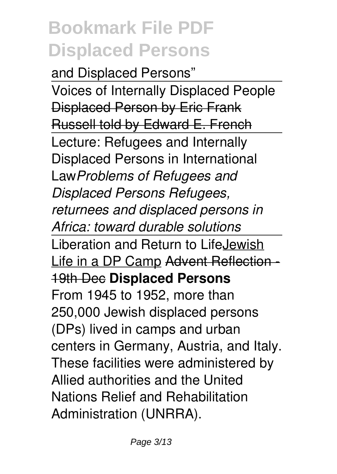and Displaced Persons" Voices of Internally Displaced People Displaced Person by Eric Frank Russell told by Edward E. French Lecture: Refugees and Internally Displaced Persons in International Law*Problems of Refugees and Displaced Persons Refugees, returnees and displaced persons in Africa: toward durable solutions* Liberation and Return to LifeJewish Life in a DP Camp Advent Reflection -19th Dec **Displaced Persons** From 1945 to 1952, more than 250,000 Jewish displaced persons (DPs) lived in camps and urban centers in Germany, Austria, and Italy. These facilities were administered by Allied authorities and the United Nations Relief and Rehabilitation Administration (UNRRA).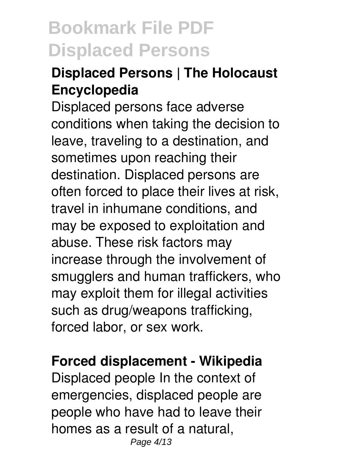### **Displaced Persons | The Holocaust Encyclopedia**

Displaced persons face adverse conditions when taking the decision to leave, traveling to a destination, and sometimes upon reaching their destination. Displaced persons are often forced to place their lives at risk, travel in inhumane conditions, and may be exposed to exploitation and abuse. These risk factors may increase through the involvement of smugglers and human traffickers, who may exploit them for illegal activities such as drug/weapons trafficking, forced labor, or sex work.

#### **Forced displacement - Wikipedia**

Displaced people In the context of emergencies, displaced people are people who have had to leave their homes as a result of a natural, Page 4/13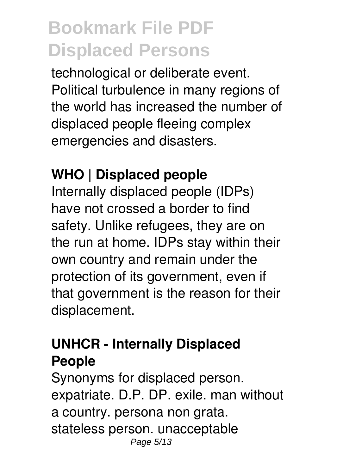technological or deliberate event. Political turbulence in many regions of the world has increased the number of displaced people fleeing complex emergencies and disasters.

### **WHO | Displaced people**

Internally displaced people (IDPs) have not crossed a border to find safety. Unlike refugees, they are on the run at home. IDPs stay within their own country and remain under the protection of its government, even if that government is the reason for their displacement.

### **UNHCR - Internally Displaced People**

Synonyms for displaced person. expatriate. D.P. DP. exile. man without a country. persona non grata. stateless person. unacceptable Page 5/13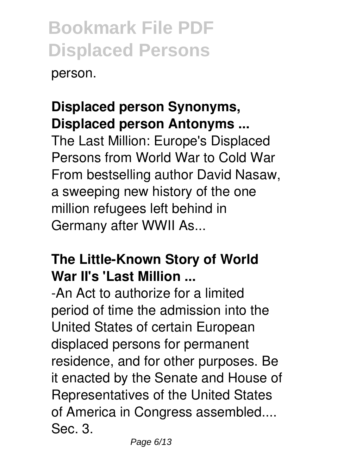person.

### **Displaced person Synonyms, Displaced person Antonyms ...**

The Last Million: Europe's Displaced Persons from World War to Cold War From bestselling author David Nasaw, a sweeping new history of the one million refugees left behind in Germany after WWII As...

### **The Little-Known Story of World War II's 'Last Million ...**

-An Act to authorize for a limited period of time the admission into the United States of certain European displaced persons for permanent residence, and for other purposes. Be it enacted by the Senate and House of Representatives of the United States of America in Congress assembled.... Sec. 3.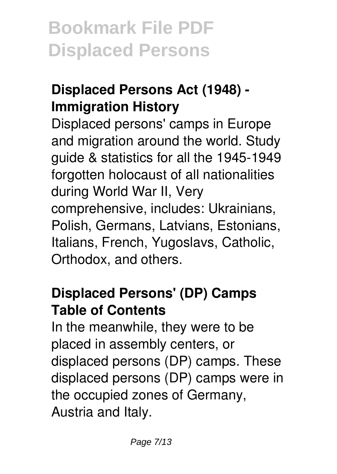### **Displaced Persons Act (1948) - Immigration History**

Displaced persons' camps in Europe and migration around the world. Study guide & statistics for all the 1945-1949 forgotten holocaust of all nationalities during World War II, Very comprehensive, includes: Ukrainians, Polish, Germans, Latvians, Estonians, Italians, French, Yugoslavs, Catholic, Orthodox, and others.

### **Displaced Persons' (DP) Camps Table of Contents**

In the meanwhile, they were to be placed in assembly centers, or displaced persons (DP) camps. These displaced persons (DP) camps were in the occupied zones of Germany, Austria and Italy.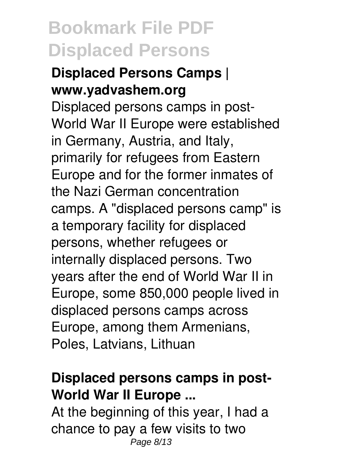#### **Displaced Persons Camps | www.yadvashem.org**

Displaced persons camps in post-World War II Europe were established in Germany, Austria, and Italy, primarily for refugees from Eastern Europe and for the former inmates of the Nazi German concentration camps. A "displaced persons camp" is a temporary facility for displaced persons, whether refugees or internally displaced persons. Two years after the end of World War II in Europe, some 850,000 people lived in displaced persons camps across Europe, among them Armenians, Poles, Latvians, Lithuan

### **Displaced persons camps in post-World War II Europe ...**

At the beginning of this year, I had a chance to pay a few visits to two Page 8/13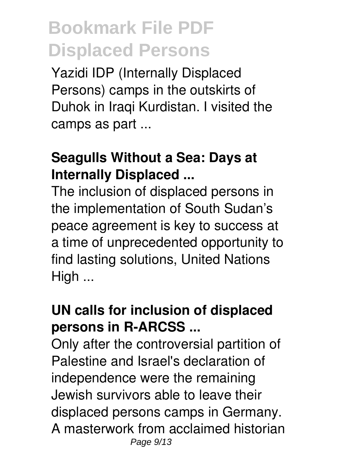Yazidi IDP (Internally Displaced Persons) camps in the outskirts of Duhok in Iraqi Kurdistan. I visited the camps as part ...

### **Seagulls Without a Sea: Days at Internally Displaced ...**

The inclusion of displaced persons in the implementation of South Sudan's peace agreement is key to success at a time of unprecedented opportunity to find lasting solutions, United Nations High ...

### **UN calls for inclusion of displaced persons in R-ARCSS ...**

Only after the controversial partition of Palestine and Israel's declaration of independence were the remaining Jewish survivors able to leave their displaced persons camps in Germany. A masterwork from acclaimed historian Page 9/13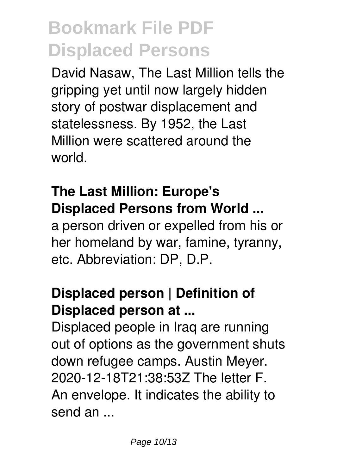David Nasaw, The Last Million tells the gripping yet until now largely hidden story of postwar displacement and statelessness. By 1952, the Last Million were scattered around the world.

### **The Last Million: Europe's Displaced Persons from World ...**

a person driven or expelled from his or her homeland by war, famine, tyranny, etc. Abbreviation: DP, D.P.

### **Displaced person | Definition of Displaced person at ...**

Displaced people in Iraq are running out of options as the government shuts down refugee camps. Austin Meyer. 2020-12-18T21:38:53Z The letter F. An envelope. It indicates the ability to send an ...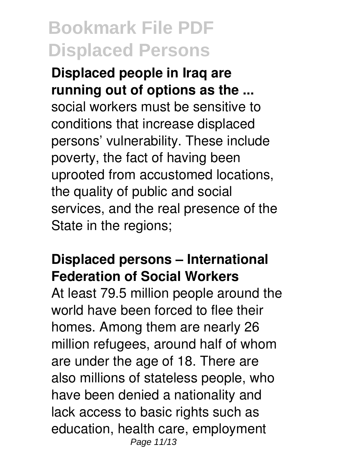**Displaced people in Iraq are running out of options as the ...** social workers must be sensitive to conditions that increase displaced persons' vulnerability. These include poverty, the fact of having been uprooted from accustomed locations, the quality of public and social services, and the real presence of the State in the regions;

### **Displaced persons – International Federation of Social Workers**

At least 79.5 million people around the world have been forced to flee their homes. Among them are nearly 26 million refugees, around half of whom are under the age of 18. There are also millions of stateless people, who have been denied a nationality and lack access to basic rights such as education, health care, employment Page 11/13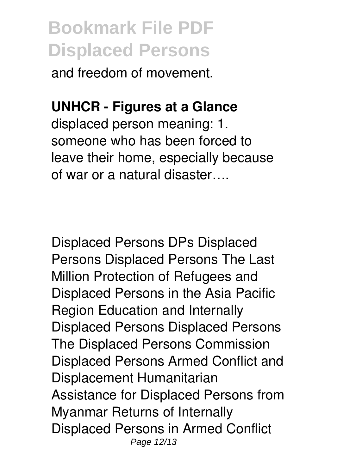and freedom of movement.

### **UNHCR - Figures at a Glance**

displaced person meaning: 1. someone who has been forced to leave their home, especially because of war or a natural disaster….

Displaced Persons DPs Displaced Persons Displaced Persons The Last Million Protection of Refugees and Displaced Persons in the Asia Pacific Region Education and Internally Displaced Persons Displaced Persons The Displaced Persons Commission Displaced Persons Armed Conflict and Displacement Humanitarian Assistance for Displaced Persons from Myanmar Returns of Internally Displaced Persons in Armed Conflict Page 12/13